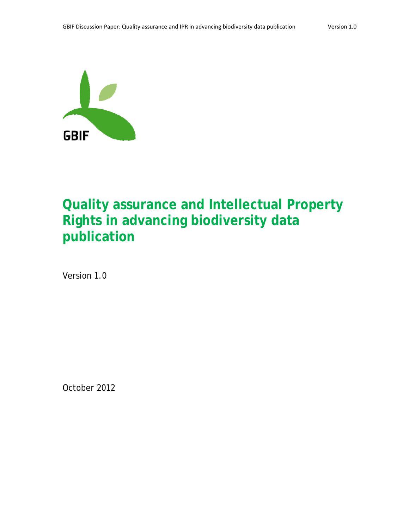

# **Quality assurance and Intellectual Property Rights in advancing biodiversity data publication**

Version 1.0

October 2012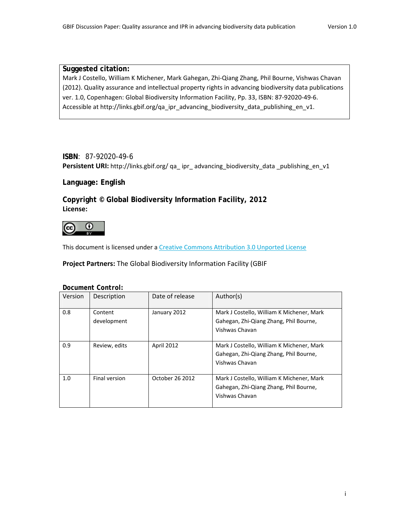#### **Suggested citation:**

Mark J Costello, William K Michener, Mark Gahegan, Zhi‐Qiang Zhang, Phil Bourne, Vishwas Chavan (2012). Quality assurance and intellectual property rights in advancing biodiversity data publications ver. 1.0, Copenhagen: Global Biodiversity Information Facility, Pp. 33, ISBN: 87‐92020‐49‐6. Accessible at http://links.gbif.org/qa\_ipr\_advancing\_biodiversity\_data\_publishing\_en\_v1.

#### **ISBN**: 87-92020-49-6

**Persistent URI:** http://links.gbif.org/ qa\_ ipr\_ advancing\_biodiversity\_data \_publishing\_en\_v1

#### **Language: English**

**Copyright © Global Biodiversity Information Facility, 2012 License:** 



This document is licensed under a Creative Commons Attribution 3.0 Unported License

**Project Partners:** The Global Biodiversity Information Facility (GBIF

*Document Control:*

| Version | Description            | Date of release | Author(s)                                                                                             |
|---------|------------------------|-----------------|-------------------------------------------------------------------------------------------------------|
| 0.8     | Content<br>development | January 2012    | Mark J Costello, William K Michener, Mark<br>Gahegan, Zhi-Qiang Zhang, Phil Bourne,<br>Vishwas Chavan |
| 0.9     | Review, edits          | April 2012      | Mark J Costello, William K Michener, Mark<br>Gahegan, Zhi-Qiang Zhang, Phil Bourne,<br>Vishwas Chavan |
| 1.0     | Final version          | October 26 2012 | Mark J Costello, William K Michener, Mark<br>Gahegan, Zhi-Qiang Zhang, Phil Bourne,<br>Vishwas Chavan |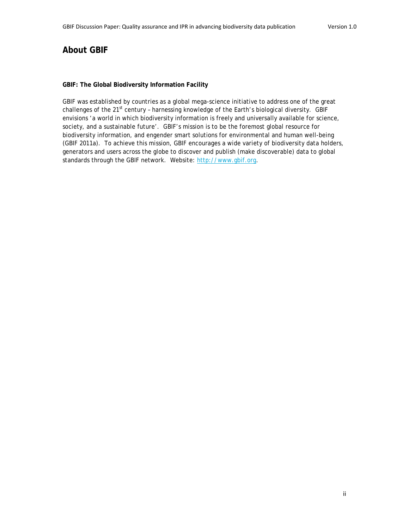# **About GBIF**

#### **GBIF: The Global Biodiversity Information Facility**

GBIF was established by countries as a global mega-science initiative to address one of the great challenges of the 21<sup>st</sup> century - harnessing knowledge of the Earth's biological diversity. GBIF envisions 'a world in which biodiversity information is freely and universally available for science, society, and a sustainable future'. GBIF's mission is to be the foremost global resource for biodiversity information, and engender smart solutions for environmental and human well-being (GBIF 2011a). To achieve this mission, GBIF encourages a wide variety of biodiversity data holders, generators and users across the globe to discover and publish (make discoverable) data to global standards through the GBIF network. Website: http://www.gbif.org.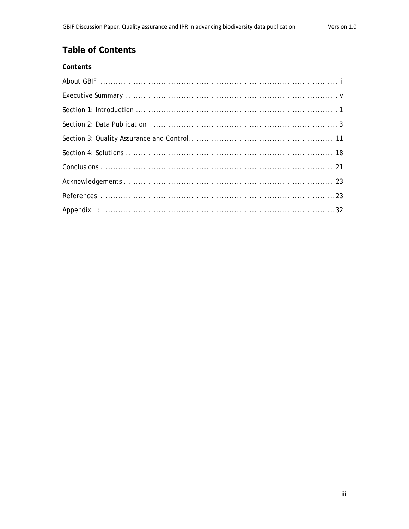# **Table of Contents**

| Contents |
|----------|
|          |
|          |
|          |
|          |
|          |
|          |
|          |
|          |
|          |
|          |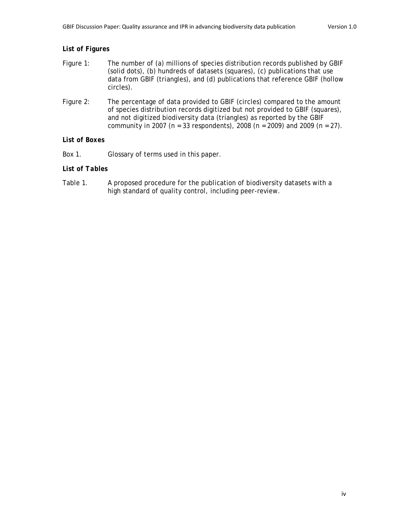#### *List of Figures*

- Figure 1: The number of (a) millions of species distribution records published by GBIF (solid dots), (b) hundreds of datasets (squares), (c) publications that use data from GBIF (triangles), and (d) publications that reference GBIF (hollow circles).
- Figure 2: The percentage of data provided to GBIF (circles) compared to the amount of species distribution records digitized but not provided to GBIF (squares), and not digitized biodiversity data (triangles) as reported by the GBIF community in 2007 (n = 33 respondents), 2008 (n = 2009) and 2009 (n = 27).

#### *List of Boxes*

Box 1. Glossary of terms used in this paper.

#### *List of Tables*

Table 1. A proposed procedure for the publication of biodiversity datasets with a high standard of quality control, including peer-review.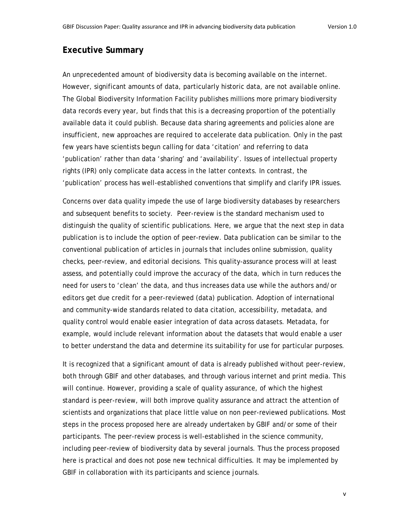# **Executive Summary**

An unprecedented amount of biodiversity data is becoming available on the internet. However, significant amounts of data, particularly historic data, are not available online. The Global Biodiversity Information Facility publishes millions more primary biodiversity data records every year, but finds that this is a decreasing proportion of the potentially available data it could publish. Because data sharing agreements and policies alone are insufficient, new approaches are required to accelerate data publication. Only in the past few years have scientists begun calling for data 'citation' and referring to data 'publication' rather than data 'sharing' and 'availability'. Issues of intellectual property rights (IPR) only complicate data access in the latter contexts. In contrast, the 'publication' process has well-established conventions that simplify and clarify IPR issues.

Concerns over data quality impede the use of large biodiversity databases by researchers and subsequent benefits to society. Peer-review is the standard mechanism used to distinguish the quality of scientific publications. Here, we argue that the next step in data publication is to include the option of peer-review. Data publication can be similar to the conventional publication of articles in journals that includes online submission, quality checks, peer-review, and editorial decisions. This quality-assurance process will at least assess, and potentially could improve the accuracy of the data, which in turn reduces the need for users to 'clean' the data, and thus increases data use while the authors and/or editors get due credit for a peer-reviewed (data) publication. Adoption of international and community-wide standards related to data citation, accessibility, metadata, and quality control would enable easier integration of data across datasets. Metadata, for example, would include relevant information about the datasets that would enable a user to better understand the data and determine its suitability for use for particular purposes.

It is recognized that a significant amount of data is already published without peer-review, both through GBIF and other databases, and through various internet and print media. This will continue. However, providing a scale of quality assurance, of which the highest standard is peer-review, will both improve quality assurance and attract the attention of scientists and organizations that place little value on non peer-reviewed publications. Most steps in the process proposed here are already undertaken by GBIF and/or some of their participants. The peer-review process is well-established in the science community, including peer-review of biodiversity data by several journals. Thus the process proposed here is practical and does not pose new technical difficulties. It may be implemented by GBIF in collaboration with its participants and science journals.

v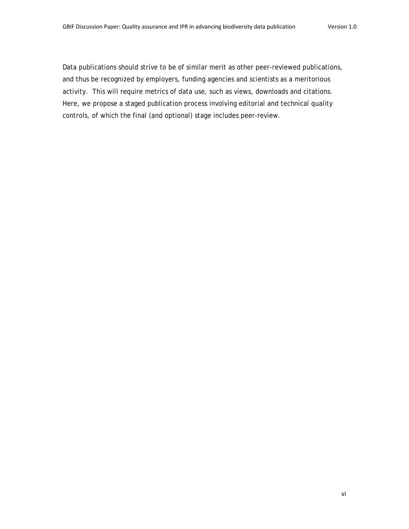Data publications should strive to be of similar merit as other peer-reviewed publications, and thus be recognized by employers, funding agencies and scientists as a meritorious activity. This will require metrics of data use, such as views, downloads and citations. Here, we propose a staged publication process involving editorial and technical quality controls, of which the final (and optional) stage includes peer-review.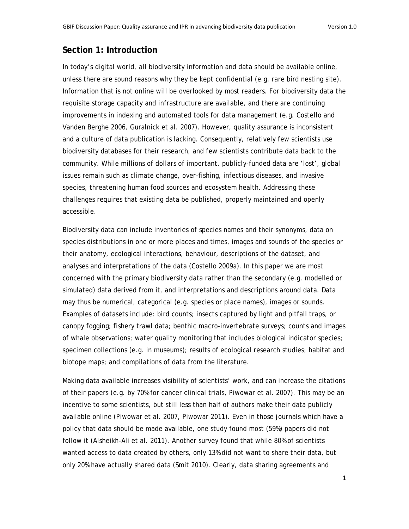# **Section 1: Introduction**

In today's digital world, all biodiversity information and data should be available online, unless there are sound reasons why they be kept confidential (e.g. rare bird nesting site). Information that is not online will be overlooked by most readers. For biodiversity data the requisite storage capacity and infrastructure are available, and there are continuing improvements in indexing and automated tools for data management (e.g. Costello and Vanden Berghe 2006, Guralnick et al. 2007). However, quality assurance is inconsistent and a culture of data publication is lacking. Consequently, relatively few scientists use biodiversity databases for their research, and few scientists contribute data back to the community. While millions of dollars of important, publicly-funded data are 'lost', global issues remain such as climate change, over-fishing, infectious diseases, and invasive species, threatening human food sources and ecosystem health. Addressing these challenges requires that existing data be published, properly maintained and openly accessible.

Biodiversity data can include inventories of species names and their synonyms, data on species distributions in one or more places and times, images and sounds of the species or their anatomy, ecological interactions, behaviour, descriptions of the dataset, and analyses and interpretations of the data (Costello 2009a). In this paper we are most concerned with the primary biodiversity data rather than the secondary (e.g. modelled or simulated) data derived from it, and interpretations and descriptions around data. Data may thus be numerical, categorical (e.g. species or place names), images or sounds. Examples of datasets include: bird counts; insects captured by light and pitfall traps, or canopy fogging; fishery trawl data; benthic macro-invertebrate surveys; counts and images of whale observations; water quality monitoring that includes biological indicator species; specimen collections (e.g. in museums); results of ecological research studies; habitat and biotope maps; and compilations of data from the literature.

Making data available increases visibility of scientists' work, and can increase the citations of their papers (e.g. by 70% for cancer clinical trials, Piwowar et al. 2007). This may be an incentive to some scientists, but still less than half of authors make their data publicly available online (Piwowar et al. 2007, Piwowar 2011). Even in those journals which have a policy that data should be made available, one study found most (59%) papers did not follow it (Alsheikh-Ali et al. 2011). Another survey found that while 80% of scientists wanted access to data created by others, only 13% did not want to share their data, but only 20% have actually shared data (Smit 2010). Clearly, data sharing agreements and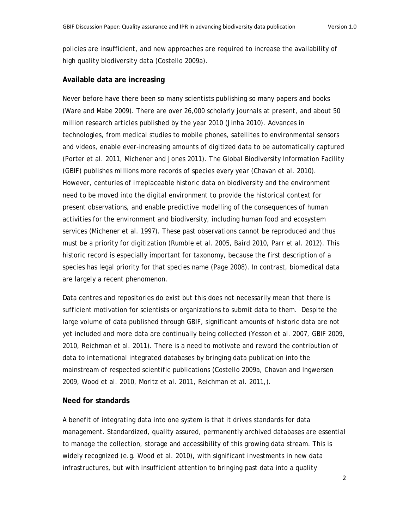policies are insufficient, and new approaches are required to increase the availability of high quality biodiversity data (Costello 2009a).

#### **Available data are increasing**

Never before have there been so many scientists publishing so many papers and books (Ware and Mabe 2009). There are over 26,000 scholarly journals at present, and about 50 million research articles published by the year 2010 (Jinha 2010). Advances in technologies, from medical studies to mobile phones, satellites to environmental sensors and videos, enable ever-increasing amounts of digitized data to be automatically captured (Porter et al. 2011, Michener and Jones 2011). The Global Biodiversity Information Facility (GBIF) publishes millions more records of species every year (Chavan et al. 2010). However, centuries of irreplaceable historic data on biodiversity and the environment need to be moved into the digital environment to provide the historical context for present observations, and enable predictive modelling of the consequences of human activities for the environment and biodiversity, including human food and ecosystem services (Michener et al. 1997). These past observations cannot be reproduced and thus must be a priority for digitization (Rumble et al. 2005, Baird 2010, Parr et al. 2012). This historic record is especially important for taxonomy, because the first description of a species has legal priority for that species name (Page 2008). In contrast, biomedical data are largely a recent phenomenon.

Data centres and repositories do exist but this does not necessarily mean that there is sufficient motivation for scientists or organizations to submit data to them. Despite the large volume of data published through GBIF, significant amounts of historic data are not yet included and more data are continually being collected (Yesson et al. 2007, GBIF 2009, 2010, Reichman et al. 2011). There is a need to motivate and reward the contribution of data to international integrated databases by bringing data publication into the mainstream of respected scientific publications (Costello 2009a, Chavan and Ingwersen 2009, Wood et al. 2010, Moritz et al. 2011, Reichman et al. 2011,).

#### **Need for standards**

A benefit of integrating data into one system is that it drives standards for data management. Standardized, quality assured, permanently archived databases are essential to manage the collection, storage and accessibility of this growing data stream. This is widely recognized (e.g. Wood et al. 2010), with significant investments in new data infrastructures, but with insufficient attention to bringing past data into a quality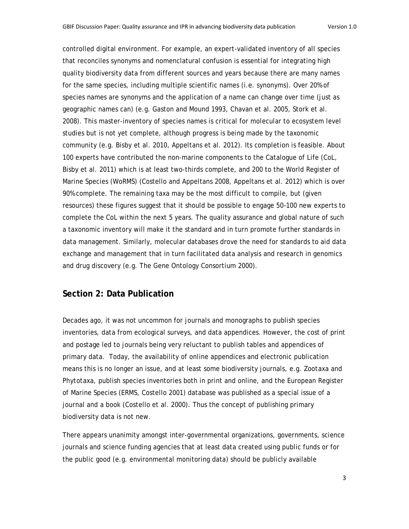controlled digital environment. For example, an expert-validated inventory of all species that reconciles synonyms and nomenclatural confusion is essential for integrating high quality biodiversity data from different sources and years because there are many names for the same species, including multiple scientific names (i.e. synonyms). Over 20% of species names are synonyms and the application of a name can change over time (just as geographic names can) (e.g. Gaston and Mound 1993, Chavan et al. 2005, Stork et al. 2008). This master-inventory of species names is critical for molecular to ecosystem level studies but is not yet complete, although progress is being made by the taxonomic community (e.g. Bisby et al. 2010, Appeltans et al. 2012). Its completion is feasible. About 100 experts have contributed the non-marine components to the Catalogue of Life (CoL, Bisby et al. 2011) which is at least two-thirds complete, and 200 to the World Register of Marine Species (WoRMS) (Costello and Appeltans 2008, Appeltans et al. 2012) which is over 90% complete. The remaining taxa may be the most difficult to compile, but (given resources) these figures suggest that it should be possible to engage 50–100 new experts to complete the CoL within the next 5 years. The quality assurance and global nature of such a taxonomic inventory will make it the standard and in turn promote further standards in data management. Similarly, molecular databases drove the need for standards to aid data exchange and management that in turn facilitated data analysis and research in genomics and drug discovery (e.g. The Gene Ontology Consortium 2000).

# **Section 2: Data Publication**

Decades ago, it was not uncommon for journals and monographs to publish species inventories, data from ecological surveys, and data appendices. However, the cost of print and postage led to journals being very reluctant to publish tables and appendices of primary data. Today, the availability of online appendices and electronic publication means this is no longer an issue, and at least some biodiversity journals, e.g. *Zootaxa* and *Phytotaxa,* publish species inventories both in print and online, and the European Register of Marine Species (ERMS, Costello 2001) database was published as a special issue of a journal and a book (Costello et al. 2000). Thus the concept of publishing primary biodiversity data is not new.

There appears unanimity amongst inter-governmental organizations, governments, science journals and science funding agencies that at least data created using public funds or for the public good (e.g. environmental monitoring data) should be publicly available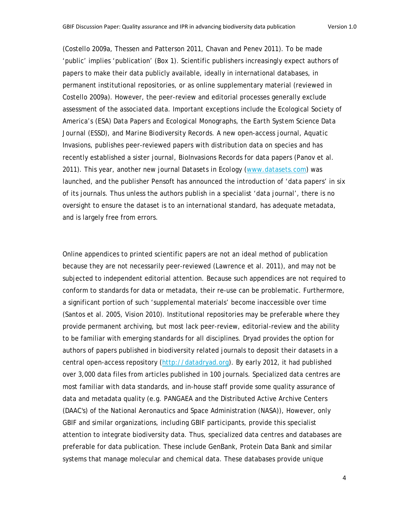(Costello 2009a, Thessen and Patterson 2011, Chavan and Penev 2011). To be made 'public' implies 'publication' (Box 1). Scientific publishers increasingly expect authors of papers to make their data publicly available, ideally in international databases, in permanent institutional repositories, or as online supplementary material (reviewed in Costello 2009a). However, the peer-review and editorial processes generally exclude assessment of the associated data. Important exceptions include the Ecological Society of America's (ESA) *Data Papers* and *Ecological Monographs*, the *Earth System Science Data Journal* (ESSD), and *Marine Biodiversity Records*. A new open-access journal, *Aquatic Invasions,* publishes peer-reviewed papers with distribution data on species and has recently established a sister journal, *BioInvasions Records* for data papers (Panov et al. 2011). This year, another new journal *Datasets in Ecology* (www.datasets.com) was launched, and the publisher Pensoft has announced the introduction of 'data papers' in six of its journals. Thus unless the authors publish in a specialist 'data journal', there is no oversight to ensure the dataset is to an international standard, has adequate metadata, and is largely free from errors.

Online appendices to printed scientific papers are not an ideal method of publication because they are not necessarily peer-reviewed (Lawrence et al. 2011), and may not be subjected to independent editorial attention. Because such appendices are not required to conform to standards for data or metadata, their re-use can be problematic. Furthermore, a significant portion of such 'supplemental materials' become inaccessible over time (Santos et al. 2005, Vision 2010). Institutional repositories may be preferable where they provide permanent archiving, but most lack peer-review, editorial-review and the ability to be familiar with emerging standards for all disciplines. Dryad provides the option for authors of papers published in biodiversity related journals to deposit their datasets in a central open-access repository (http://datadryad.org). By early 2012, it had published over 3,000 data files from articles published in 100 journals. Specialized data centres are most familiar with data standards, and in-house staff provide some quality assurance of data and metadata quality (e.g. PANGAEA and the Distributed Active Archive Centers (DAAC's) of the National Aeronautics and Space Administration (NASA)), However, only GBIF and similar organizations, including GBIF participants, provide this specialist attention to integrate biodiversity data. Thus, specialized data centres and databases are preferable for data publication. These include GenBank, Protein Data Bank and similar systems that manage molecular and chemical data. These databases provide unique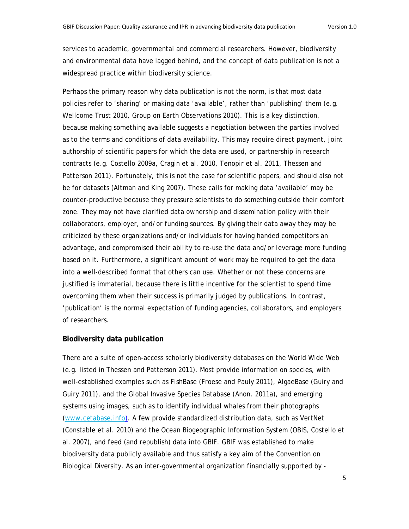services to academic, governmental and commercial researchers. However, biodiversity and environmental data have lagged behind, and the concept of data publication is not a widespread practice within biodiversity science.

Perhaps the primary reason why data publication is not the norm, is that most data policies refer to 'sharing' or making data 'available', rather than 'publishing' them (e.g. Wellcome Trust 2010, Group on Earth Observations 2010). This is a key distinction, because making something available suggests a negotiation between the parties involved as to the terms and conditions of data availability. This may require direct payment, joint authorship of scientific papers for which the data are used, or partnership in research contracts (e.g. Costello 2009a, Cragin et al. 2010, Tenopir et al. 2011, Thessen and Patterson 2011). Fortunately, this is not the case for scientific papers, and should also not be for datasets (Altman and King 2007). These calls for making data 'available' may be counter-productive because they pressure scientists to do something outside their comfort zone. They may not have clarified data ownership and dissemination policy with their collaborators, employer, and/or funding sources. By giving their data away they may be criticized by these organizations and/or individuals for having handed competitors an advantage, and compromised their ability to re-use the data and/or leverage more funding based on it. Furthermore, a significant amount of work may be required to get the data into a well-described format that others can use. Whether or not these concerns are justified is immaterial, because there is little incentive for the scientist to spend time overcoming them when their success is primarily judged by publications. In contrast, 'publication' is the normal expectation of funding agencies, collaborators, and employers of researchers.

#### **Biodiversity data publication**

There are a suite of open-access scholarly biodiversity databases on the World Wide Web (e.g. listed in Thessen and Patterson 2011). Most provide information on species, with well-established examples such as FishBase (Froese and Pauly 2011), AlgaeBase (Guiry and Guiry 2011), and the Global Invasive Species Database (Anon. 2011a), and emerging systems using images, such as to identify individual whales from their photographs (www.cetabase.info). A few provide standardized distribution data, such as VertNet (Constable et al. 2010) and the Ocean Biogeographic Information System (OBIS, Costello et al. 2007), and feed (and republish) data into GBIF. GBIF was established to make biodiversity data publicly available and thus satisfy a key aim of the Convention on Biological Diversity. As an inter-governmental organization financially supported by -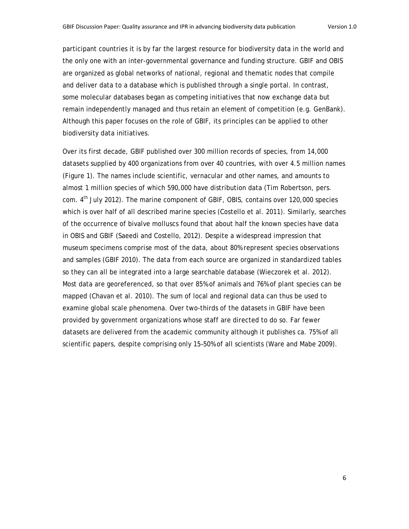participant countries it is by far the largest resource for biodiversity data in the world and the only one with an inter-governmental governance and funding structure. GBIF and OBIS are organized as global networks of national, regional and thematic nodes that compile and deliver data to a database which is published through a single portal. In contrast, some molecular databases began as competing initiatives that now exchange data but remain independently managed and thus retain an element of competition (e.g. GenBank). Although this paper focuses on the role of GBIF, its principles can be applied to other biodiversity data initiatives.

Over its first decade, GBIF published over 300 million records of species, from 14,000 datasets supplied by 400 organizations from over 40 countries, with over 4.5 million names (Figure 1). The names include scientific, vernacular and other names, and amounts to almost 1 million species of which 590,000 have distribution data (Tim Robertson, pers. com. 4<sup>th</sup> July 2012). The marine component of GBIF, OBIS, contains over 120,000 species which is over half of all described marine species (Costello et al. 2011). Similarly, searches of the occurrence of bivalve molluscs found that about half the known species have data in OBIS and GBIF (Saeedi and Costello, 2012). Despite a widespread impression that museum specimens comprise most of the data, about 80% represent species observations and samples (GBIF 2010). The data from each source are organized in standardized tables so they can all be integrated into a large searchable database (Wieczorek et al. 2012). Most data are georeferenced, so that over 85% of animals and 76% of plant species can be mapped (Chavan et al. 2010). The sum of local and regional data can thus be used to examine global scale phenomena. Over two-thirds of the datasets in GBIF have been provided by government organizations whose staff are directed to do so. Far fewer datasets are delivered from the academic community although it publishes *ca.* 75% of all scientific papers, despite comprising only 15–50% of all scientists (Ware and Mabe 2009).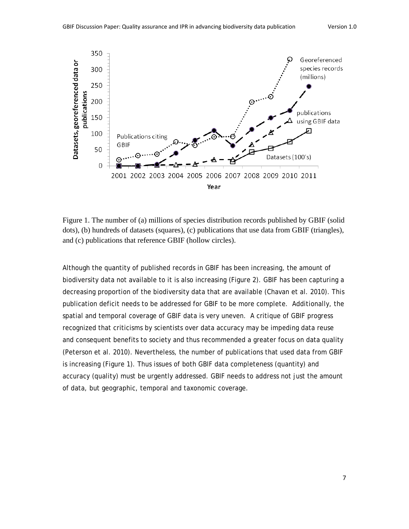

Figure 1. The number of (a) millions of species distribution records published by GBIF (solid dots), (b) hundreds of datasets (squares), (c) publications that use data from GBIF (triangles), and (c) publications that reference GBIF (hollow circles).

Although the quantity of published records in GBIF has been increasing, the amount of biodiversity data not available to it is also increasing (Figure 2). GBIF has been capturing a decreasing proportion of the biodiversity data that are available (Chavan et al. 2010). This publication deficit needs to be addressed for GBIF to be more complete. Additionally, the spatial and temporal coverage of GBIF data is very uneven. A critique of GBIF progress recognized that criticisms by scientists over data accuracy may be impeding data reuse and consequent benefits to society and thus recommended a greater focus on data quality (Peterson et al. 2010). Nevertheless, the number of publications that used data from GBIF is increasing (Figure 1). Thus issues of both GBIF data completeness (quantity) and accuracy (quality) must be urgently addressed. GBIF needs to address not just the amount of data, but geographic, temporal and taxonomic coverage.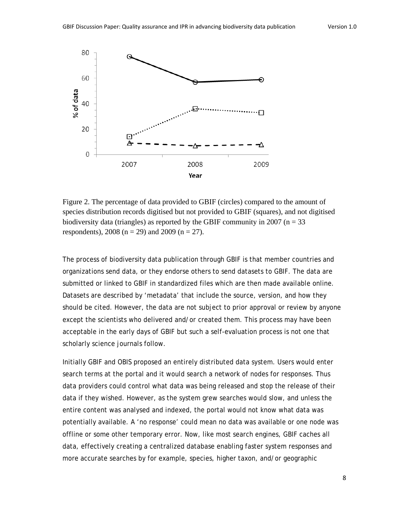

Figure 2. The percentage of data provided to GBIF (circles) compared to the amount of species distribution records digitised but not provided to GBIF (squares), and not digitised biodiversity data (triangles) as reported by the GBIF community in 2007 ( $n = 33$ ) respondents), 2008 ( $n = 29$ ) and 2009 ( $n = 27$ ).

The process of biodiversity data publication through GBIF is that member countries and organizations send data, or they endorse others to send datasets to GBIF. The data are submitted or linked to GBIF in standardized files which are then made available online. Datasets are described by 'metadata' that include the source, version, and how they should be cited. However, the data are not subject to prior approval or review by anyone except the scientists who delivered and/or created them. This process may have been acceptable in the early days of GBIF but such a self-evaluation process is not one that scholarly science journals follow.

Initially GBIF and OBIS proposed an entirely distributed data system. Users would enter search terms at the portal and it would search a network of nodes for responses. Thus data providers could control what data was being released and stop the release of their data if they wished. However, as the system grew searches would slow, and unless the entire content was analysed and indexed, the portal would not know what data was potentially available. A 'no response' could mean no data was available or one node was offline or some other temporary error. Now, like most search engines, GBIF caches all data, effectively creating a centralized database enabling faster system responses and more accurate searches by for example, species, higher taxon, and/or geographic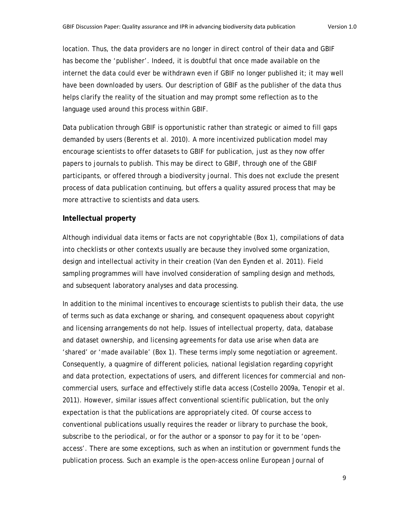location. Thus, the data providers are no longer in direct control of their data and GBIF has become the 'publisher'. Indeed, it is doubtful that once made available on the internet the data could ever be withdrawn even if GBIF no longer published it; it may well have been downloaded by users. Our description of GBIF as the publisher of the data thus helps clarify the reality of the situation and may prompt some reflection as to the language used around this process within GBIF.

Data publication through GBIF is opportunistic rather than strategic or aimed to fill gaps demanded by users (Berents et al. 2010). A more incentivized publication model may encourage scientists to offer datasets to GBIF for publication, just as they now offer papers to journals to publish. This may be direct to GBIF, through one of the GBIF participants, or offered through a biodiversity journal. This does not exclude the present process of data publication continuing, but offers a quality assured process that may be more attractive to scientists and data users.

#### **Intellectual property**

Although individual data items or facts are not copyrightable (Box 1), compilations of data into checklists or other contexts usually are because they involved some organization, design and intellectual activity in their creation (Van den Eynden et al. 2011). Field sampling programmes will have involved consideration of sampling design and methods, and subsequent laboratory analyses and data processing.

In addition to the minimal incentives to encourage scientists to publish their data, the use of terms such as data exchange or sharing, and consequent opaqueness about copyright and licensing arrangements do not help. Issues of intellectual property, data, database and dataset ownership, and licensing agreements for data use arise when data are 'shared' or 'made available' (Box 1). These terms imply some negotiation or agreement. Consequently, a quagmire of different policies, national legislation regarding copyright and data protection, expectations of users, and different licences for commercial and noncommercial users, surface and effectively stifle data access (Costello 2009a, Tenopir et al. 2011). However, similar issues affect conventional scientific publication, but the only expectation is that the publications are appropriately cited. Of course access to conventional publications usually requires the reader or library to purchase the book, subscribe to the periodical, or for the author or a sponsor to pay for it to be 'openaccess'. There are some exceptions, such as when an institution or government funds the publication process. Such an example is the open-access online *European Journal of*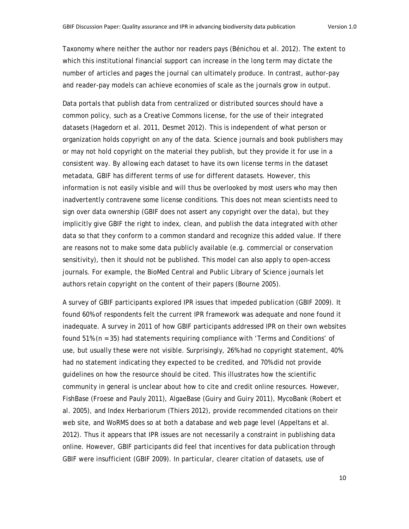*Taxonomy* where neither the author nor readers pays (Bénichou et al. 2012). The extent to which this institutional financial support can increase in the long term may dictate the number of articles and pages the journal can ultimately produce. In contrast, author-pay and reader-pay models can achieve economies of scale as the journals grow in output.

Data portals that publish data from centralized or distributed sources should have a common policy, such as a Creative Commons license, for the use of their integrated datasets (Hagedorn et al. 2011, Desmet 2012). This is independent of what person or organization holds copyright on any of the data. Science journals and book publishers may or may not hold copyright on the material they publish, but they provide it for use in a consistent way. By allowing each dataset to have its own license terms in the dataset metadata, GBIF has different terms of use for different datasets. However, this information is not easily visible and will thus be overlooked by most users who may then inadvertently contravene some license conditions. This does not mean scientists need to sign over data ownership (GBIF does not assert any copyright over the data), but they implicitly give GBIF the right to index, clean, and publish the data integrated with other data so that they conform to a common standard and recognize this added value. If there are reasons not to make some data publicly available (e.g. commercial or conservation sensitivity), then it should not be published. This model can also apply to open-access journals. For example, the BioMed Central and Public Library of Science journals let authors retain copyright on the content of their papers (Bourne 2005).

A survey of GBIF participants explored IPR issues that impeded publication (GBIF 2009). It found 60% of respondents felt the current IPR framework was adequate and none found it inadequate. A survey in 2011 of how GBIF participants addressed IPR on their own websites found 51% (n = 35) had statements requiring compliance with 'Terms and Conditions' of use, but usually these were not visible. Surprisingly, 26% had no copyright statement, 40% had no statement indicating they expected to be credited, and 70% did not provide guidelines on how the resource should be cited. This illustrates how the scientific community in general is unclear about how to cite and credit online resources. However, FishBase (Froese and Pauly 2011), AlgaeBase (Guiry and Guiry 2011), MycoBank (Robert et al. 2005), and Index Herbariorum (Thiers 2012), provide recommended citations on their web site, and WoRMS does so at both a database and web page level (Appeltans et al. 2012). Thus it appears that IPR issues are not necessarily a constraint in publishing data online. However, GBIF participants did feel that incentives for data publication through GBIF were insufficient (GBIF 2009). In particular, clearer citation of datasets, use of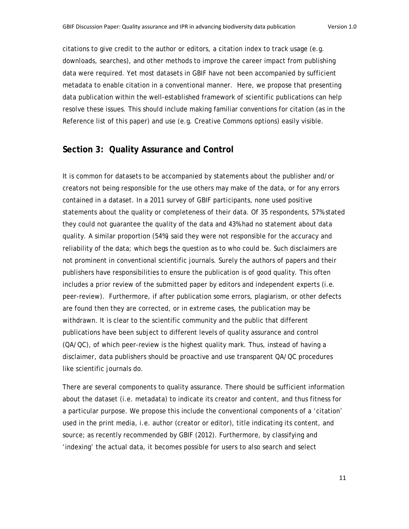citations to give credit to the author or editors, a citation index to track usage (e.g. downloads, searches), and other methods to improve the career impact from publishing data were required. Yet most datasets in GBIF have not been accompanied by sufficient metadata to enable citation in a conventional manner. Here, we propose that presenting data publication within the well-established framework of scientific publications can help resolve these issues. This should include making familiar conventions for citation (as in the Reference list of this paper) and use (e.g. Creative Commons options) easily visible.

## **Section 3: Quality Assurance and Control**

It is common for datasets to be accompanied by statements about the publisher and/or creators not being responsible for the use others may make of the data, or for any errors contained in a dataset. In a 2011 survey of GBIF participants, none used positive statements about the quality or completeness of their data. Of 35 respondents, 57% stated they could not guarantee the quality of the data and 43% had no statement about data quality. A similar proportion (54%) said they were not responsible for the accuracy and reliability of the data; which begs the question as to who could be. Such disclaimers are not prominent in conventional scientific journals. Surely the authors of papers and their publishers have responsibilities to ensure the publication is of good quality. This often includes a prior review of the submitted paper by editors and independent experts (i.e. peer-review). Furthermore, if after publication some errors, plagiarism, or other defects are found then they are corrected, or in extreme cases, the publication may be withdrawn. It is clear to the scientific community and the public that different publications have been subject to different levels of quality assurance and control (QA/QC), of which peer-review is the highest quality mark. Thus, instead of having a disclaimer, data publishers should be proactive and use transparent QA/QC procedures like scientific journals do.

There are several components to quality assurance. There should be sufficient information about the dataset (i.e. metadata) to indicate its creator and content, and thus fitness for a particular purpose. We propose this include the conventional components of a 'citation' used in the print media, i.e. author (creator or editor), title indicating its content, and source; as recently recommended by GBIF (2012). Furthermore, by classifying and 'indexing' the actual data, it becomes possible for users to also search and select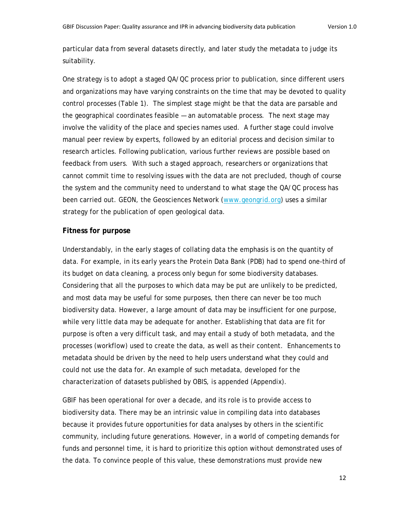particular data from several datasets directly, and later study the metadata to judge its suitability.

One strategy is to adopt a staged QA/QC process prior to publication, since different users and organizations may have varying constraints on the time that may be devoted to quality control processes (Table 1). The simplest stage might be that the data are parsable and the geographical coordinates feasible — an automatable process. The next stage may involve the validity of the place and species names used. A further stage could involve manual peer review by experts, followed by an editorial process and decision similar to research articles. Following publication, various further reviews are possible based on feedback from users. With such a staged approach, researchers or organizations that cannot commit time to resolving issues with the data are not precluded, though of course the system and the community need to understand to what stage the QA/QC process has been carried out. GEON, the Geosciences Network (www.geongrid.org) uses a similar strategy for the publication of open geological data.

#### **Fitness for purpose**

Understandably, in the early stages of collating data the emphasis is on the quantity of data. For example, in its early years the Protein Data Bank (PDB) had to spend one-third of its budget on data cleaning, a process only begun for some biodiversity databases. Considering that all the purposes to which data may be put are unlikely to be predicted, and most data may be useful for some purposes, then there can never be too much biodiversity data. However, a large amount of data may be insufficient for one purpose, while very little data may be adequate for another. Establishing that data are fit for purpose is often a very difficult task, and may entail a study of both metadata, and the processes (workflow) used to create the data, as well as their content. Enhancements to metadata should be driven by the need to help users understand what they could and could not use the data for. An example of such metadata, developed for the characterization of datasets published by OBIS, is appended (Appendix).

GBIF has been operational for over a decade, and its role is to provide access to biodiversity data. There may be an intrinsic value in compiling data into databases because it provides future opportunities for data analyses by others in the scientific community, including future generations. However, in a world of competing demands for funds and personnel time, it is hard to prioritize this option without demonstrated uses of the data. To convince people of this value, these demonstrations must provide new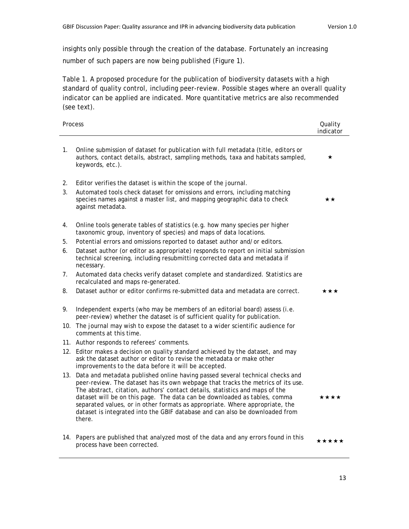insights only possible through the creation of the database. Fortunately an increasing number of such papers are now being published (Figure 1).

Table 1. A proposed procedure for the publication of biodiversity datasets with a high standard of quality control, including peer-review. Possible stages where an overall quality indicator can be applied are indicated. More quantitative metrics are also recommended (see text).

| Process  |                                                                                                                                                                                                                                                                                                                                                                                                                                                                                                              | Quality<br>indicator |
|----------|--------------------------------------------------------------------------------------------------------------------------------------------------------------------------------------------------------------------------------------------------------------------------------------------------------------------------------------------------------------------------------------------------------------------------------------------------------------------------------------------------------------|----------------------|
| 1.       | Online submission of dataset for publication with full metadata (title, editors or<br>authors, contact details, abstract, sampling methods, taxa and habitats sampled,<br>keywords, etc.).                                                                                                                                                                                                                                                                                                                   | *                    |
| 2.<br>3. | Editor verifies the dataset is within the scope of the journal.<br>Automated tools check dataset for omissions and errors, including matching<br>species names against a master list, and mapping geographic data to check<br>against metadata.                                                                                                                                                                                                                                                              | **                   |
| 4.       | Online tools generate tables of statistics (e.g. how many species per higher<br>taxonomic group, inventory of species) and maps of data locations.                                                                                                                                                                                                                                                                                                                                                           |                      |
| 5.       | Potential errors and omissions reported to dataset author and/or editors.                                                                                                                                                                                                                                                                                                                                                                                                                                    |                      |
| 6.       | Dataset author (or editor as appropriate) responds to report on initial submission<br>technical screening, including resubmitting corrected data and metadata if<br>necessary.                                                                                                                                                                                                                                                                                                                               |                      |
| 7.       | Automated data checks verify dataset complete and standardized. Statistics are<br>recalculated and maps re-generated.                                                                                                                                                                                                                                                                                                                                                                                        |                      |
| 8.       | Dataset author or editor confirms re-submitted data and metadata are correct.                                                                                                                                                                                                                                                                                                                                                                                                                                | ***                  |
| 9.       | Independent experts (who may be members of an editorial board) assess (i.e.<br>peer-review) whether the dataset is of sufficient quality for publication.                                                                                                                                                                                                                                                                                                                                                    |                      |
|          | 10. The journal may wish to expose the dataset to a wider scientific audience for<br>comments at this time.                                                                                                                                                                                                                                                                                                                                                                                                  |                      |
|          | 11. Author responds to referees' comments.                                                                                                                                                                                                                                                                                                                                                                                                                                                                   |                      |
|          | 12. Editor makes a decision on quality standard achieved by the dataset, and may<br>ask the dataset author or editor to revise the metadata or make other<br>improvements to the data before it will be accepted.                                                                                                                                                                                                                                                                                            |                      |
|          | 13. Data and metadata published online having passed several technical checks and<br>peer-review. The dataset has its own webpage that tracks the metrics of its use.<br>The abstract, citation, authors' contact details, statistics and maps of the<br>dataset will be on this page. The data can be downloaded as tables, comma<br>separated values, or in other formats as appropriate. Where appropriate, the<br>dataset is integrated into the GBIF database and can also be downloaded from<br>there. | ****                 |
|          | 14. Papers are published that analyzed most of the data and any errors found in this<br>process have been corrected.                                                                                                                                                                                                                                                                                                                                                                                         | *****                |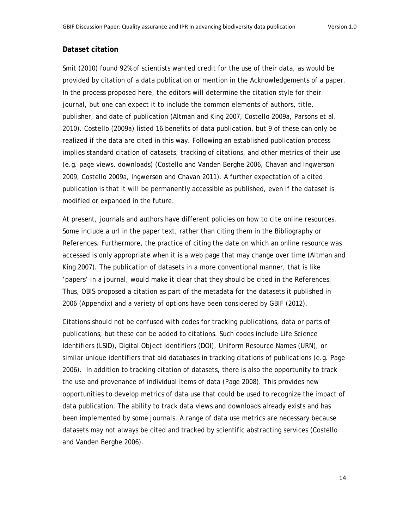#### **Dataset citation**

Smit (2010) found 92% of scientists wanted credit for the use of their data, as would be provided by citation of a data publication or mention in the Acknowledgements of a paper. In the process proposed here, the editors will determine the citation style for their journal, but one can expect it to include the common elements of authors, title, publisher, and date of publication (Altman and King 2007, Costello 2009a, Parsons et al. 2010). Costello (2009a) listed 16 benefits of data publication, but 9 of these can only be realized if the data are cited in this way. Following an established publication process implies standard citation of datasets, tracking of citations, and other metrics of their use (e.g. page views, downloads) (Costello and Vanden Berghe 2006, Chavan and Ingwerson 2009, Costello 2009a, Ingwersen and Chavan 2011). A further expectation of a cited publication is that it will be permanently accessible as published, even if the dataset is modified or expanded in the future.

At present, journals and authors have different policies on how to cite online resources. Some include a url in the paper text, rather than citing them in the Bibliography or References. Furthermore, the practice of citing the date on which an online resource was accessed is only appropriate when it is a web page that may change over time (Altman and King 2007). The publication of datasets in a more conventional manner, that is like 'papers' in a journal, would make it clear that they should be cited in the References. Thus, OBIS proposed a citation as part of the metadata for the datasets it published in 2006 (Appendix) and a variety of options have been considered by GBIF (2012).

Citations should not be confused with codes for tracking publications, data or parts of publications; but these can be added to citations. Such codes include Life Science Identifiers (LSID), Digital Object Identifiers (DOI), Uniform Resource Names (URN), or similar unique identifiers that aid databases in tracking citations of publications (e.g. Page 2006). In addition to tracking citation of datasets, there is also the opportunity to track the use and provenance of individual items of data (Page 2008). This provides new opportunities to develop metrics of data use that could be used to recognize the impact of data publication. The ability to track data views and downloads already exists and has been implemented by some journals. A range of data use metrics are necessary because datasets may not always be cited and tracked by scientific abstracting services (Costello and Vanden Berghe 2006).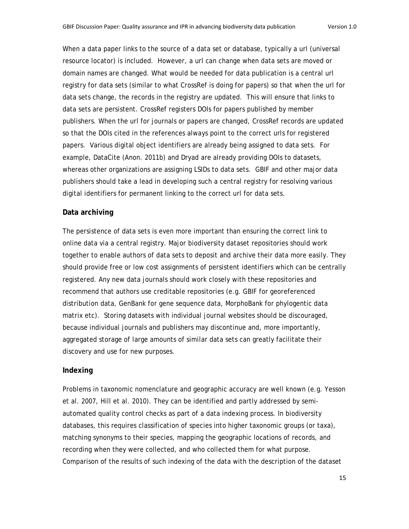When a data paper links to the source of a data set or database, typically a url (universal resource locator) is included. However, a url can change when data sets are moved or domain names are changed. What would be needed for data publication is a central url registry for data sets (similar to what CrossRef is doing for papers) so that when the url for data sets change, the records in the registry are updated. This will ensure that links to data sets are persistent. CrossRef registers DOIs for papers published by member publishers. When the url for journals or papers are changed, CrossRef records are updated so that the DOIs cited in the references always point to the correct urls for registered papers. Various digital object identifiers are already being assigned to data sets. For example, DataCite (Anon. 2011b) and Dryad are already providing DOIs to datasets, whereas other organizations are assigning LSIDs to data sets. GBIF and other major data publishers should take a lead in developing such a central registry for resolving various digital identifiers for permanent linking to the correct url for data sets.

#### **Data archiving**

The persistence of data sets is even more important than ensuring the correct link to online data via a central registry. Major biodiversity dataset repositories should work together to enable authors of data sets to deposit and archive their data more easily. They should provide free or low cost assignments of persistent identifiers which can be centrally registered. Any new data journals should work closely with these repositories and recommend that authors use creditable repositories (e.g. GBIF for georeferenced distribution data, GenBank for gene sequence data, MorphoBank for phylogentic data matrix etc). Storing datasets with individual journal websites should be discouraged, because individual journals and publishers may discontinue and, more importantly, aggregated storage of large amounts of similar data sets can greatly facilitate their discovery and use for new purposes.

#### **Indexing**

Problems in taxonomic nomenclature and geographic accuracy are well known (e.g. Yesson et al. 2007, Hill et al. 2010). They can be identified and partly addressed by semiautomated quality control checks as part of a data indexing process. In biodiversity databases, this requires classification of species into higher taxonomic groups (or taxa), matching synonyms to their species, mapping the geographic locations of records, and recording when they were collected, and who collected them for what purpose. Comparison of the results of such indexing of the data with the description of the dataset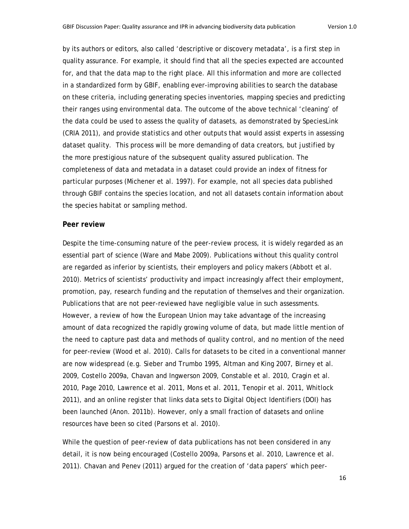by its authors or editors, also called 'descriptive or discovery metadata', is a first step in quality assurance. For example, it should find that all the species expected are accounted for, and that the data map to the right place. All this information and more are collected in a standardized form by GBIF, enabling ever-improving abilities to search the database on these criteria, including generating species inventories, mapping species and predicting their ranges using environmental data. The outcome of the above technical 'cleaning' of the data could be used to assess the quality of datasets, as demonstrated by SpeciesLink (CRIA 2011), and provide statistics and other outputs that would assist experts in assessing dataset quality. This process will be more demanding of data creators, but justified by the more prestigious nature of the subsequent quality assured publication. The completeness of data and metadata in a dataset could provide an index of fitness for particular purposes (Michener et al. 1997). For example, not all species data published through GBIF contains the species location, and not all datasets contain information about the species habitat or sampling method.

#### **Peer review**

Despite the time-consuming nature of the peer-review process, it is widely regarded as an essential part of science (Ware and Mabe 2009). Publications without this quality control are regarded as inferior by scientists, their employers and policy makers (Abbott et al. 2010). Metrics of scientists' productivity and impact increasingly affect their employment, promotion, pay, research funding and the reputation of themselves and their organization. Publications that are not peer-reviewed have negligible value in such assessments. However, a review of how the European Union may take advantage of the increasing amount of data recognized the rapidly growing volume of data, but made little mention of the need to capture past data and methods of quality control, and no mention of the need for peer-review (Wood et al. 2010). Calls for datasets to be cited in a conventional manner are now widespread (e.g. Sieber and Trumbo 1995, Altman and King 2007, Birney et al. 2009, Costello 2009a, Chavan and Ingwerson 2009, Constable et al. 2010, Cragin et al. 2010, Page 2010, Lawrence et al. 2011, Mons et al. 2011, Tenopir et al. 2011, Whitlock 2011), and an online register that links data sets to Digital Object Identifiers (DOI) has been launched (Anon. 2011b). However, only a small fraction of datasets and online resources have been so cited (Parsons et al. 2010).

While the question of peer-review of data publications has not been considered in any detail, it is now being encouraged (Costello 2009a, Parsons et al. 2010, Lawrence et al. 2011). Chavan and Penev (2011) argued for the creation of 'data papers' which peer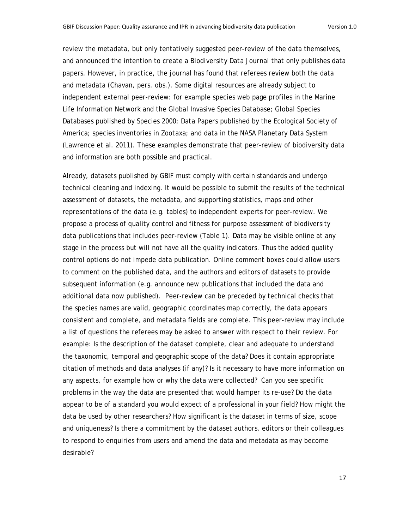review the metadata, but only tentatively suggested peer-review of the data themselves, and announced the intention to create a *Biodiversity Data Journal* that only publishes data papers. However, in practice, the journal has found that referees review both the data and metadata (Chavan, pers. obs.). Some digital resources are already subject to independent external peer-review: for example species web page profiles in the Marine Life Information Network and the Global Invasive Species Database; Global Species Databases published by Species 2000; *Data Papers* published by the Ecological Society of America; species inventories in *Zootaxa*; and data in the NASA Planetary Data System (Lawrence et al. 2011). These examples demonstrate that peer-review of biodiversity data and information are both possible and practical.

Already, datasets published by GBIF must comply with certain standards and undergo technical cleaning and indexing. It would be possible to submit the results of the technical assessment of datasets, the metadata, and supporting statistics, maps and other representations of the data (e.g. tables) to independent experts for peer-review. We propose a process of quality control and fitness for purpose assessment of biodiversity data publications that includes peer-review (Table 1). Data may be visible online at any stage in the process but will not have all the quality indicators. Thus the added quality control options do not impede data publication. Online comment boxes could allow users to comment on the published data, and the authors and editors of datasets to provide subsequent information (e.g. announce new publications that included the data and additional data now published). Peer-review can be preceded by technical checks that the species names are valid, geographic coordinates map correctly, the data appears consistent and complete, and metadata fields are complete. This peer-review may include a list of questions the referees may be asked to answer with respect to their review. For example: Is the description of the dataset complete, clear and adequate to understand the taxonomic, temporal and geographic scope of the data? Does it contain appropriate citation of methods and data analyses (if any)? Is it necessary to have more information on any aspects, for example how or why the data were collected? Can you see specific problems in the way the data are presented that would hamper its re-use? Do the data appear to be of a standard you would expect of a professional in your field? How might the data be used by other researchers? How significant is the dataset in terms of size, scope and uniqueness? Is there a commitment by the dataset authors, editors or their colleagues to respond to enquiries from users and amend the data and metadata as may become desirable?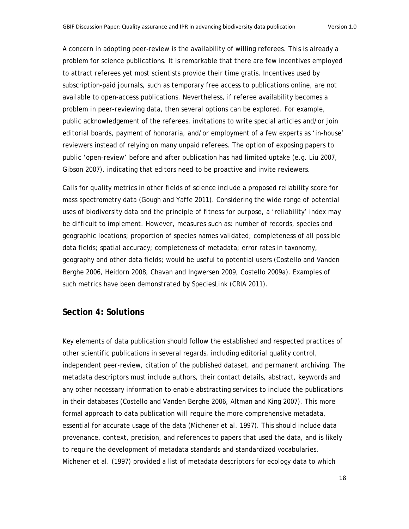A concern in adopting peer-review is the availability of willing referees. This is already a problem for science publications. It is remarkable that there are few incentives employed to attract referees yet most scientists provide their time gratis. Incentives used by subscription-paid journals, such as temporary free access to publications online, are not available to open-access publications. Nevertheless, if referee availability becomes a problem in peer-reviewing data, then several options can be explored. For example, public acknowledgement of the referees, invitations to write special articles and/or join editorial boards, payment of honoraria, and/or employment of a few experts as 'in-house' reviewers instead of relying on many unpaid referees. The option of exposing papers to public 'open-review' before and after publication has had limited uptake (e.g. Liu 2007, Gibson 2007), indicating that editors need to be proactive and invite reviewers.

Calls for quality metrics in other fields of science include a proposed reliability score for mass spectrometry data (Gough and Yaffe 2011). Considering the wide range of potential uses of biodiversity data and the principle of fitness for purpose, a 'reliability' index may be difficult to implement. However, measures such as: number of records, species and geographic locations; proportion of species names validated; completeness of all possible data fields; spatial accuracy; completeness of metadata; error rates in taxonomy, geography and other data fields; would be useful to potential users (Costello and Vanden Berghe 2006, Heidorn 2008, Chavan and Ingwersen 2009, Costello 2009a). Examples of such metrics have been demonstrated by SpeciesLink (CRIA 2011).

# **Section 4: Solutions**

Key elements of data publication should follow the established and respected practices of other scientific publications in several regards, including editorial quality control, independent peer-review, citation of the published dataset, and permanent archiving. The metadata descriptors must include authors, their contact details, abstract, keywords and any other necessary information to enable abstracting services to include the publications in their databases (Costello and Vanden Berghe 2006, Altman and King 2007). This more formal approach to data publication will require the more comprehensive metadata, essential for accurate usage of the data (Michener et al. 1997). This should include data provenance, context, precision, and references to papers that used the data, and is likely to require the development of metadata standards and standardized vocabularies. Michener et al. (1997) provided a list of metadata descriptors for ecology data to which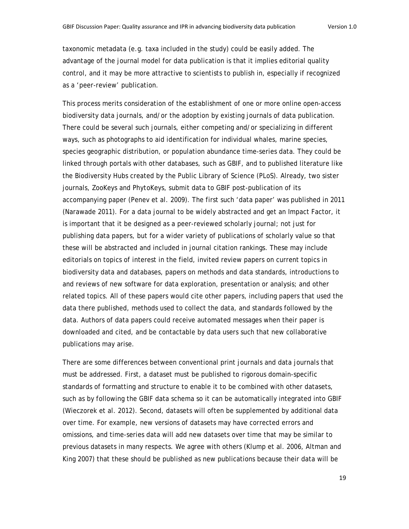taxonomic metadata (e.g. taxa included in the study) could be easily added. The advantage of the journal model for data publication is that it implies editorial quality control, and it may be more attractive to scientists to publish in, especially if recognized as a 'peer-review' publication.

This process merits consideration of the establishment of one or more online open-access biodiversity data journals, and/or the adoption by existing journals of data publication. There could be several such journals, either competing and/or specializing in different ways, such as photographs to aid identification for individual whales, marine species, species geographic distribution, or population abundance time-series data. They could be linked through portals with other databases, such as GBIF, and to published literature like the Biodiversity Hubs created by the Public Library of Science (PLoS). Already, two sister journals, *ZooKeys* and *PhytoKeys,* submit data to GBIF post-publication of its accompanying paper (Penev et al. 2009). The first such 'data paper' was published in 2011 (Narawade 2011). For a data journal to be widely abstracted and get an Impact Factor, it is important that it be designed as a peer-reviewed scholarly journal; not just for publishing data papers, but for a wider variety of publications of scholarly value so that these will be abstracted and included in journal citation rankings. These may include editorials on topics of interest in the field, invited review papers on current topics in biodiversity data and databases, papers on methods and data standards, introductions to and reviews of new software for data exploration, presentation or analysis; and other related topics. All of these papers would cite other papers, including papers that used the data there published, methods used to collect the data, and standards followed by the data. Authors of data papers could receive automated messages when their paper is downloaded and cited, and be contactable by data users such that new collaborative publications may arise.

There are some differences between conventional print journals and data journals that must be addressed. First, a dataset must be published to rigorous domain-specific standards of formatting and structure to enable it to be combined with other datasets, such as by following the GBIF data schema so it can be automatically integrated into GBIF (Wieczorek et al. 2012). Second, datasets will often be supplemented by additional data over time. For example, new versions of datasets may have corrected errors and omissions, and time-series data will add new datasets over time that may be similar to previous datasets in many respects. We agree with others (Klump et al. 2006, Altman and King 2007) that these should be published as new publications because their data will be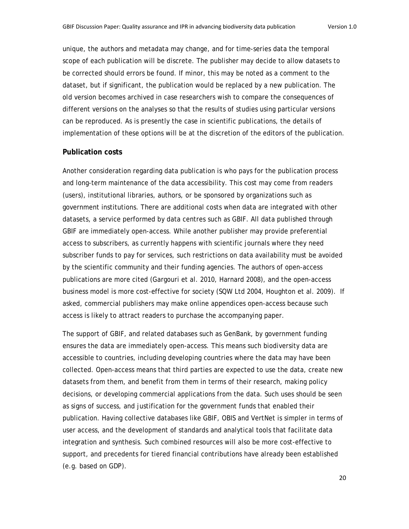unique, the authors and metadata may change, and for time-series data the temporal scope of each publication will be discrete. The publisher may decide to allow datasets to be corrected should errors be found. If minor, this may be noted as a comment to the dataset, but if significant, the publication would be replaced by a new publication. The old version becomes archived in case researchers wish to compare the consequences of different versions on the analyses so that the results of studies using particular versions can be reproduced. As is presently the case in scientific publications, the details of implementation of these options will be at the discretion of the editors of the publication.

#### **Publication costs**

Another consideration regarding data publication is who pays for the publication process and long-term maintenance of the data accessibility. This cost may come from readers (users), institutional libraries, authors, or be sponsored by organizations such as government institutions. There are additional costs when data are integrated with other datasets, a service performed by data centres such as GBIF. All data published through GBIF are immediately open-access. While another publisher may provide preferential access to subscribers, as currently happens with scientific journals where they need subscriber funds to pay for services, such restrictions on data availability must be avoided by the scientific community and their funding agencies. The authors of open-access publications are more cited (Gargouri et al. 2010, Harnard 2008), and the open-access business model is more cost-effective for society (SQW Ltd 2004, Houghton et al. 2009). If asked, commercial publishers may make online appendices open-access because such access is likely to attract readers to purchase the accompanying paper.

The support of GBIF, and related databases such as GenBank, by government funding ensures the data are immediately open-access. This means such biodiversity data are accessible to countries, including developing countries where the data may have been collected. Open-access means that third parties are expected to use the data, create new datasets from them, and benefit from them in terms of their research, making policy decisions, or developing commercial applications from the data. Such uses should be seen as signs of success, and justification for the government funds that enabled their publication. Having collective databases like GBIF, OBIS and VertNet is simpler in terms of user access, and the development of standards and analytical tools that facilitate data integration and synthesis. Such combined resources will also be more cost-effective to support, and precedents for tiered financial contributions have already been established (e.g. based on GDP).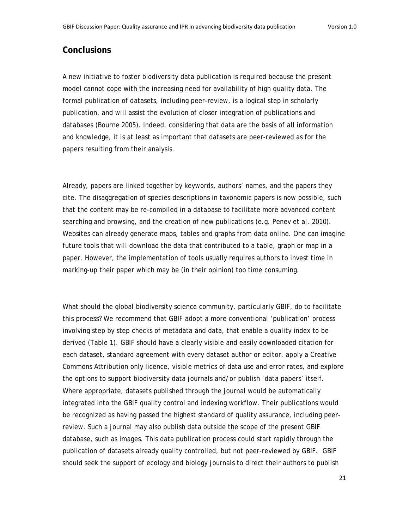# **Conclusions**

A new initiative to foster biodiversity data publication is required because the present model cannot cope with the increasing need for availability of high quality data. The formal publication of datasets, including peer-review, is a logical step in scholarly publication, and will assist the evolution of closer integration of publications and databases (Bourne 2005). Indeed, considering that data are the basis of all information and knowledge, it is at least as important that datasets are peer-reviewed as for the papers resulting from their analysis.

Already, papers are linked together by keywords, authors' names, and the papers they cite. The disaggregation of species descriptions in taxonomic papers is now possible, such that the content may be re-compiled in a database to facilitate more advanced content searching and browsing, and the creation of new publications (e.g. Penev et al. 2010). Websites can already generate maps, tables and graphs from data online. One can imagine future tools that will download the data that contributed to a table, graph or map in a paper. However, the implementation of tools usually requires authors to invest time in marking-up their paper which may be (in their opinion) too time consuming.

What should the global biodiversity science community, particularly GBIF, do to facilitate this process? We recommend that GBIF adopt a more conventional 'publication' process involving step by step checks of metadata and data, that enable a quality index to be derived (Table 1). GBIF should have a clearly visible and easily downloaded citation for each dataset, standard agreement with every dataset author or editor, apply a Creative Commons Attribution only licence, visible metrics of data use and error rates, and explore the options to support biodiversity data journals and/or publish 'data papers' itself. Where appropriate, datasets published through the journal would be automatically integrated into the GBIF quality control and indexing workflow. Their publications would be recognized as having passed the highest standard of quality assurance, including peerreview. Such a journal may also publish data outside the scope of the present GBIF database, such as images. This data publication process could start rapidly through the publication of datasets already quality controlled, but not peer-reviewed by GBIF. GBIF should seek the support of ecology and biology journals to direct their authors to publish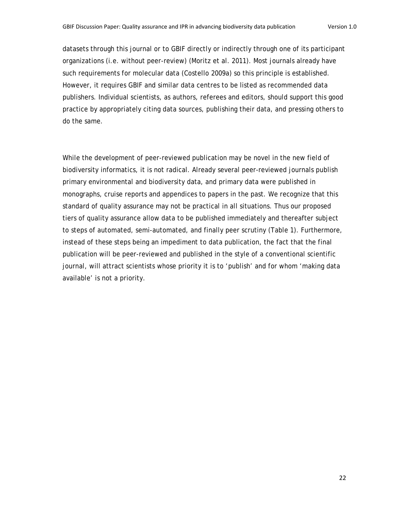datasets through this journal or to GBIF directly or indirectly through one of its participant organizations (i.e. without peer-review) (Moritz et al. 2011). Most journals already have such requirements for molecular data (Costello 2009a) so this principle is established. However, it requires GBIF and similar data centres to be listed as recommended data publishers. Individual scientists, as authors, referees and editors, should support this good practice by appropriately citing data sources, publishing their data, and pressing others to do the same.

While the development of peer-reviewed publication may be novel in the new field of biodiversity informatics, it is not radical. Already several peer-reviewed journals publish primary environmental and biodiversity data, and primary data were published in monographs, cruise reports and appendices to papers in the past. We recognize that this standard of quality assurance may not be practical in all situations. Thus our proposed tiers of quality assurance allow data to be published immediately and thereafter subject to steps of automated, semi-automated, and finally peer scrutiny (Table 1). Furthermore, instead of these steps being an impediment to data publication, the fact that the final publication will be peer-reviewed and published in the style of a conventional scientific journal, will attract scientists whose priority it is to 'publish' and for whom 'making data available' is not a priority.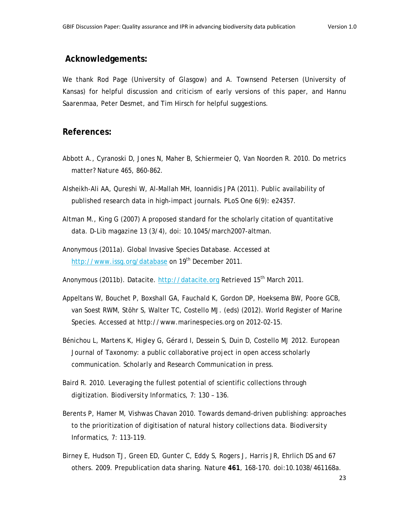#### **Acknowledgements:**

We thank Rod Page (University of Glasgow) and A. Townsend Petersen (University of Kansas) for helpful discussion and criticism of early versions of this paper, and Hannu Saarenmaa, Peter Desmet, and Tim Hirsch for helpful suggestions.

## **References:**

- Abbott A., Cyranoski D, Jones N, Maher B, Schiermeier Q, Van Noorden R. 2010. Do metrics matter? *Nature* 465, 860-862.
- Alsheikh-Ali AA, Qureshi W, Al-Mallah MH, Ioannidis JPA (2011). Public availability of published research data in high-impact journals. *PLoS One* 6(9): e24357.
- Altman M., King G (2007) A proposed standard for the scholarly citation of quantitative data. *D-Lib magazine* 13 (3/4), doi: 10.1045/march2007-altman.
- Anonymous (2011a). Global Invasive Species Database. Accessed at http://www.issg.org/database on 19<sup>th</sup> December 2011.
- Anonymous (2011b). Datacite. http://datacite.org Retrieved 15<sup>th</sup> March 2011.
- Appeltans W, Bouchet P, Boxshall GA, Fauchald K, Gordon DP, Hoeksema BW, Poore GCB, van Soest RWM, Stöhr S, Walter TC, Costello MJ. (eds) (2012). World Register of Marine Species. Accessed at http://www.marinespecies.org on 2012-02-15.
- Bénichou L, Martens K, Higley G, Gérard I, Dessein S, Duin D, Costello MJ 2012. *European Journal of Taxonomy*: a public collaborative project in open access scholarly communication. *Scholarly and Research Communication* in press.
- Baird R. 2010. Leveraging the fullest potential of scientific collections through digitization. *Biodiversity Informatics*, 7: 130 – 136.
- Berents P, Hamer M, Vishwas Chavan 2010. Towards demand-driven publishing: approaches to the prioritization of digitisation of natural history collections data. *Biodiversity Informatics,* 7: 113-119.
- Birney E, Hudson TJ, Green ED, Gunter C, Eddy S, Rogers J, Harris JR, Ehrlich DS and 67 others. 2009. Prepublication data sharing. *Nature* **461**, 168-170. doi:10.1038/461168a.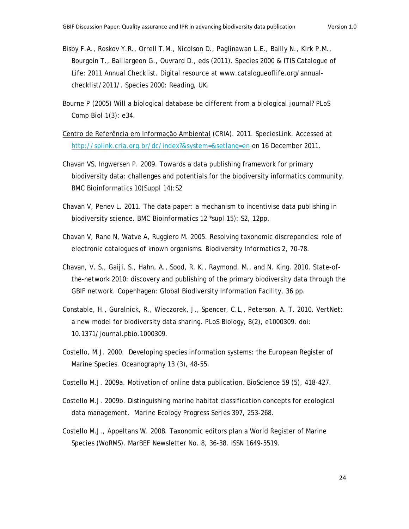- Bisby F.A., Roskov Y.R., Orrell T.M., Nicolson D., Paglinawan L.E., Bailly N., Kirk P.M., Bourgoin T., Baillargeon G., Ouvrard D., eds (2011). Species 2000 & ITIS Catalogue of Life: 2011 Annual Checklist. Digital resource at www.catalogueoflife.org/annualchecklist/2011/. Species 2000: Reading, UK.
- Bourne P (2005) Will a biological database be different from a biological journal? *PLoS Comp Biol* 1(3): e34.
- Centro de Referência em Informação Ambiental (CRIA). 2011. SpeciesLink. Accessed at http://splink.cria.org.br/dc/index?&system=&setlang=en on 16 December 2011.
- Chavan VS, Ingwersen P. 2009. Towards a data publishing framework for primary biodiversity data: challenges and potentials for the biodiversity informatics community. *BMC Bioinformatics* 10(Suppl 14):S2
- Chavan V, Penev L. 2011. The data paper: a mechanism to incentivise data publishing in biodiversity science. *BMC Bioinformatics* 12 \*supl 15): S2, 12pp.
- Chavan V, Rane N, Watve A, Ruggiero M. 2005. Resolving taxonomic discrepancies: role of electronic catalogues of known organisms. *Biodiversity Informatics* 2, 70–78.
- Chavan, V. S., Gaiji, S., Hahn, A., Sood, R. K., Raymond, M., and N. King. 2010. State-ofthe-network 2010: discovery and publishing of the primary biodiversity data through the GBIF network. Copenhagen: Global Biodiversity Information Facility, 36 pp.
- Constable, H., Guralnick, R., Wieczorek, J., Spencer, C.L,, Peterson, A. T. 2010. VertNet: a new model for biodiversity data sharing. PLoS Biology, 8(2), e1000309. doi: 10.1371/journal.pbio.1000309.
- Costello, M.J. 2000. Developing species information systems: the European Register of Marine Species. *Oceanography* 13 (3), 48-55.
- Costello M.J. 2009a. Motivation of online data publication. BioScience 59 (5), 418-427.
- Costello M.J. 2009b. Distinguishing marine habitat classification concepts for ecological data management. *Marine Ecology Progress Series* 397, 253-268.
- Costello M.J., Appeltans W. 2008. Taxonomic editors plan a World Register of Marine Species (WoRMS). MarBEF Newsletter No. 8, 36-38. ISSN 1649-5519.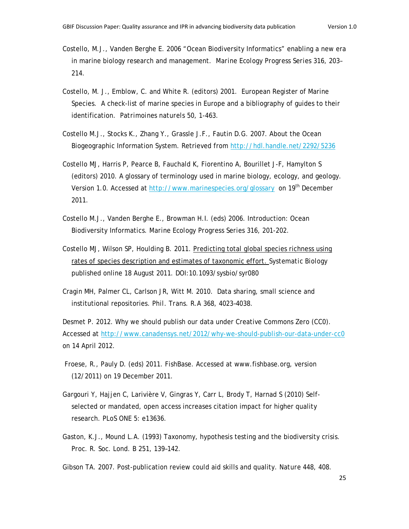- Costello, M.J., Vanden Berghe E. 2006 "Ocean Biodiversity Informatics" enabling a new era in marine biology research and management. *Marine Ecology Progress Series* 316, 203– 214.
- Costello, M. J., Emblow, C. and White R. (editors) 2001. European Register of Marine Species. A check-list of marine species in Europe and a bibliography of guides to their identification. *Patrimoines naturels* 50, 1-463.
- Costello M.J., Stocks K., Zhang Y., Grassle J.F., Fautin D.G. 2007. About the Ocean Biogeographic Information System. Retrieved from http://hdl.handle.net/2292/5236
- Costello MJ, Harris P, Pearce B, Fauchald K, Fiorentino A, Bourillet J-F, Hamylton S (editors) 2010. A glossary of terminology used in marine biology, ecology, and geology. Version 1.0. Accessed at http://www.marinespecies.org/glossary on 19<sup>th</sup> December 2011.
- Costello M.J., Vanden Berghe E., Browman H.I. (eds) 2006. Introduction: Ocean Biodiversity Informatics. *Marine Ecology Progress Series* 316, 201-202.
- Costello MJ, Wilson SP, Houlding B. 2011. Predicting total global species richness using rates of species description and estimates of taxonomic effort. *Systematic Biology* published online 18 August 2011. DOI:10.1093/sysbio/syr080
- Cragin MH, Palmer CL, Carlson JR, Witt M. 2010. Data sharing, small science and institutional repositories. *Phil. Trans. R.A* 368, 4023–4038.

Desmet P. 2012. Why we should publish our data under Creative Commons Zero (CC0). Accessed at http://www.canadensys.net/2012/why-we-should-publish-our-data-under-cc0 on 14 April 2012.

- Froese, R., Pauly D. (eds) 2011. FishBase. Accessed at www.fishbase.org, version (12/2011) on 19 December 2011.
- Gargouri Y, Hajjen C, Larivière V, Gingras Y, Carr L, Brody T, Harnad S (2010) Selfselected or mandated, open access increases citation impact for higher quality research. *PLoS ONE* 5: e13636.
- Gaston, K.J., Mound L.A. (1993) Taxonomy, hypothesis testing and the biodiversity crisis. *Proc. R. Soc. Lond.* B 251, 139–142.

Gibson TA. 2007. Post-publication review could aid skills and quality. *Nature* 448, 408.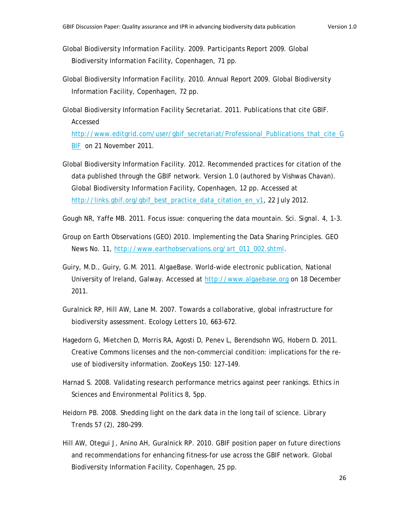- Global Biodiversity Information Facility. 2009. Participants Report 2009. Global Biodiversity Information Facility, Copenhagen, 71 pp.
- Global Biodiversity Information Facility. 2010. Annual Report 2009. Global Biodiversity Information Facility, Copenhagen, 72 pp.

Global Biodiversity Information Facility Secretariat. 2011. Publications that cite GBIF. Accessed

http://www.editgrid.com/user/gbif\_secretariat/Professional\_Publications\_that\_cite\_G BIF on 21 November 2011.

Global Biodiversity Information Facility. 2012. Recommended practices for citation of the data published through the GBIF network. Version 1.0 (authored by Vishwas Chavan). Global Biodiversity Information Facility, Copenhagen, 12 pp. Accessed at http://links.gbif.org/gbif\_best\_practice\_data\_citation\_en\_v1, 22 July 2012.

Gough NR, Yaffe MB. 2011. Focus issue: conquering the data mountain. *Sci. Signal.* 4, 1-3.

- Group on Earth Observations (GEO) 2010. Implementing the Data Sharing Principles. GEO News No. 11, http://www.earthobservations.org/art\_011\_002.shtml.
- Guiry, M.D., Guiry, G.M. 2011. *AlgaeBase*. World-wide electronic publication, National University of Ireland, Galway. Accessed at http://www.algaebase.org on 18 December 2011.
- Guralnick RP, Hill AW, Lane M. 2007. Towards a collaborative, global infrastructure for biodiversity assessment. *Ecology Letters* 10, 663-672.
- Hagedorn G, Mietchen D, Morris RA, Agosti D, Penev L, Berendsohn WG, Hobern D. 2011. Creative Commons licenses and the non-commercial condition: implications for the reuse of biodiversity information. *ZooKeys* 150: 127–149.
- Harnad S. 2008. Validating research performance metrics against peer rankings. *Ethics in Sciences and Environmental Politics* 8, 5pp.
- Heidorn PB. 2008. Shedding light on the dark data in the long tail of science. *Library Trends* 57 (2), 280–299.
- Hill AW, Otegui J, Anino AH, Guralnick RP. 2010. GBIF position paper on future directions and recommendations for enhancing fitness-for use across the GBIF network. Global Biodiversity Information Facility, Copenhagen, 25 pp.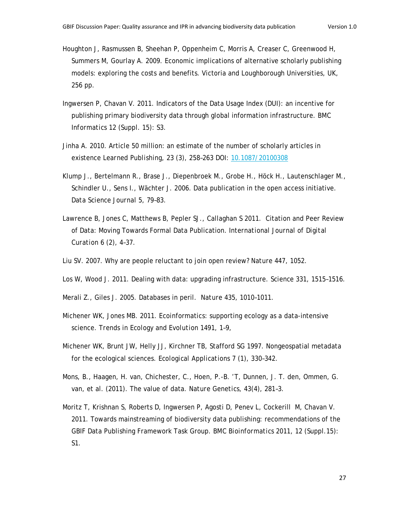- Houghton J, Rasmussen B, Sheehan P, Oppenheim C, Morris A, Creaser C, Greenwood H, Summers M, Gourlay A. 2009. Economic implications of alternative scholarly publishing models: exploring the costs and benefits. Victoria and Loughborough Universities, UK, 256 pp.
- Ingwersen P, Chavan V. 2011. Indicators of the Data Usage Index (DUI): an incentive for publishing primary biodiversity data through global information infrastructure. *BMC Informatics* 12 (Suppl. 15): S3.
- Jinha A. 2010. Article 50 million: an estimate of the number of scholarly articles in existence *Learned Publishing, 23* (3), 258–263 DOI: 10.1087/20100308
- Klump J., Bertelmann R., Brase J., Diepenbroek M., Grobe H., Höck H., Lautenschlager M., Schindler U., Sens I., Wächter J. 2006. Data publication in the open access initiative. *Data Science Journal 5,* 79–83.
- Lawrence B, Jones C, Matthews B, Pepler SJ., Callaghan S 2011. Citation and Peer Review of Data: Moving Towards Formal Data Publication. *International Journal of Digital Curation* 6 (2), 4–37.
- Liu SV. 2007. Why are people reluctant to join open review? *Nature* 447, 1052.
- Los W, Wood J. 2011. Dealing with data: upgrading infrastructure. *Science* 331, 1515–1516.
- Merali Z., Giles J. 2005. Databases in peril*. Nature* 435, 1010–1011.
- Michener WK, Jones MB. 2011. Ecoinformatics: supporting ecology as a data-intensive science. *Trends in Ecology and Evolution* 1491, 1–9,
- Michener WK, Brunt JW, Helly JJ, Kirchner TB, Stafford SG 1997. Nongeospatial metadata for the ecological sciences. *Ecological Applications* 7 (1), 330–342.
- Mons, B., Haagen, H. van, Chichester, C., Hoen, P.-B. 'T, Dunnen, J. T. den, Ommen, G. van, et al. (2011). The value of data. *Nature Genetics*, 43(4), 281–3.
- Moritz T, Krishnan S, Roberts D, Ingwersen P, Agosti D, Penev L, Cockerill M, Chavan V. 2011. Towards mainstreaming of biodiversity data publishing: recommendations of the GBIF Data Publishing Framework Task Group. *BMC Bioinformatics* 2011, 12 (Suppl.15): S1.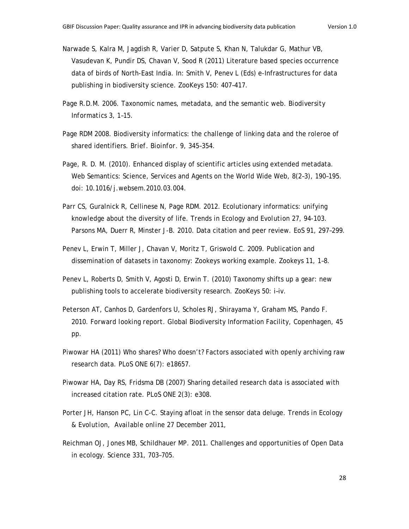- Narwade S, Kalra M, Jagdish R, Varier D, Satpute S, Khan N, Talukdar G, Mathur VB, Vasudevan K, Pundir DS, Chavan V, Sood R (2011) Literature based species occurrence data of birds of North-East India. In: Smith V, Penev L (Eds) e-Infrastructures for data publishing in biodiversity science. *ZooKeys* 150: 407–417.
- Page R.D.M. 2006. Taxonomic names, metadata, and the semantic web. *Biodiversity Informatics* 3, 1–15.
- Page RDM 2008. Biodiversity informatics: the challenge of linking data and the roleroe of shared identifiers. *Brief. Bioinfor.* 9, 345–354.
- Page, R. D. M. (2010). Enhanced display of scientific articles using extended metadata. Web Semantics: Science, Services and Agents on the World Wide Web, 8(2–3), 190–195. doi: 10.1016/j.websem.2010.03.004.
- Parr CS, Guralnick R, Cellinese N, Page RDM. 2012. Ecolutionary informatics: unifying knowledge about the diversity of life. *Trends in Ecology and Evolution* 27, 94-103. Parsons MA, Duerr R, Minster J-B. 2010. Data citation and peer review. *EoS* 91, 297–299.
- Penev L, Erwin T, Miller J, Chavan V, Moritz T, Griswold C. 2009. Publication and dissemination of datasets in taxonomy: Zookeys working example. *Zookeys* 11, 1–8.
- Penev L, Roberts D, Smith V, Agosti D, Erwin T. (2010) Taxonomy shifts up a gear: new publishing tools to accelerate biodiversity research. *ZooKeys* 50: i–iv.
- Peterson AT, Canhos D, Gardenfors U, Scholes RJ, Shirayama Y, Graham MS, Pando F. 2010. *Forward looking report*. Global Biodiversity Information Facility, Copenhagen, 45 pp.
- Piwowar HA (2011) Who shares? Who doesn't? Factors associated with openly archiving raw research data. *PLoS ONE* 6(7): e18657.
- Piwowar HA, Day RS, Fridsma DB (2007) Sharing detailed research data is associated with increased citation rate. *PLoS ONE* 2(3): e308.
- Porter JH, Hanson PC, Lin C-C. Staying afloat in the sensor data deluge. *Trends in Ecology & Evolution, Available online 27 December 2011,*
- Reichman OJ, Jones MB, Schildhauer MP. 2011. Challenges and opportunities of Open Data in ecology. *Science* 331, 703–705.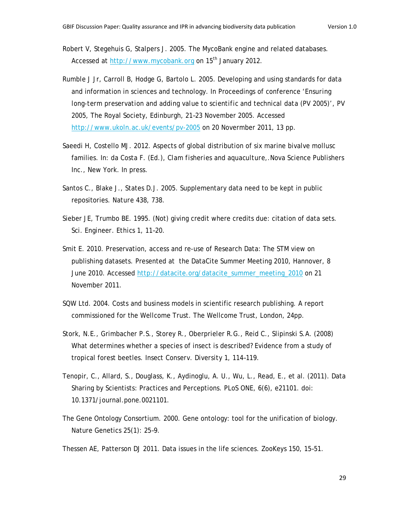Robert V, Stegehuis G, Stalpers J. 2005. The MycoBank engine and related databases. Accessed at http://www.mycobank.org on 15<sup>th</sup> January 2012.

- Rumble J Jr, Carroll B, Hodge G, Bartolo L. 2005. Developing and using standards for data and information in sciences and technology. In Proceedings of conference '*Ensuring long-term preservation and adding value to scientific and technical data (PV 2005)*', PV 2005, The Royal Society, Edinburgh, 21–23 November 2005. Accessed http://www.ukoln.ac.uk/events/pv-2005 on 20 Novermber 2011, 13 pp.
- Saeedi H, Costello MJ. 2012. Aspects of global distribution of six marine bivalve mollusc families. In: da Costa F. (Ed.), *Clam fisheries and aquaculture,*.Nova Science Publishers Inc., New York. In press.
- Santos C., Blake J., States D.J. 2005. Supplementary data need to be kept in public repositories. *Nature* 438, 738.
- Sieber JE, Trumbo BE. 1995. (Not) giving credit where credits due: citation of data sets. *Sci. Engineer. Ethics* 1, 11–20.
- Smit E. 2010. Preservation, access and re-use of Research Data: The STM view on publishing datasets. Presented at the DataCite Summer Meeting 2010, Hannover, 8 June 2010. Accessed http://datacite.org/datacite\_summer\_meeting\_2010 on 21 November 2011.
- SQW Ltd. 2004. Costs and business models in scientific research publishing. A report commissioned for the Wellcome Trust. The Wellcome Trust, London, 24pp.
- Stork, N.E., Grimbacher P.S., Storey R., Oberprieler R.G., Reid C., Slipinski S.A. (2008) What determines whether a species of insect is described? Evidence from a study of tropical forest beetles. *Insect Conserv. Diversity* 1, 114–119.
- Tenopir, C., Allard, S., Douglass, K., Aydinoglu, A. U., Wu, L., Read, E., et al. (2011). Data Sharing by Scientists: Practices and Perceptions. PLoS ONE, 6(6), e21101. doi: 10.1371/journal.pone.0021101.
- The Gene Ontology Consortium*. 2000.* Gene ontology: tool for the unification of biology. Nature Genetics 25(1): 25–9.
- Thessen AE, Patterson DJ 2011. Data issues in the life sciences. *ZooKeys* 150, 15–51.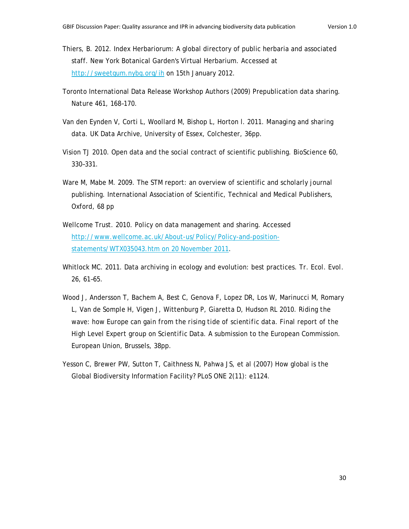- Thiers, B. 2012. Index Herbariorum: A global directory of public herbaria and associated staff. New York Botanical Garden's Virtual Herbarium. Accessed at http://sweetgum.nybg.org/ih on 15th January 2012.
- Toronto International Data Release Workshop Authors (2009) Prepublication data sharing. *Nature* 461, 168–170.
- Van den Eynden V, Corti L, Woollard M, Bishop L, Horton l. 2011. *Managing and sharing data.* UK Data Archive, University of Essex, Colchester, 36pp.
- Vision TJ 2010. Open data and the social contract of scientific publishing. BioScience 60, 330–331.
- Ware M, Mabe M. 2009. The STM report: an overview of scientific and scholarly journal publishing. International Association of Scientific, Technical and Medical Publishers, Oxford, 68 pp
- Wellcome Trust. 2010. Policy on data management and sharing. Accessed http://www.wellcome.ac.uk/About-us/Policy/Policy-and-positionstatements/WTX035043.htm on 20 November 2011.
- Whitlock MC. 2011. Data archiving in ecology and evolution: best practices. *Tr. Ecol. Evol.*  26, 61–65.
- Wood J, Andersson T, Bachem A, Best C, Genova F, Lopez DR, Los W, Marinucci M, Romary L, Van de Somple H, Vigen J, Wittenburg P, Giaretta D, Hudson RL 2010. *Riding the wave: how Europe can gain from the rising tide of scientific data. Final report of the High Level Expert group on Scientific Data*. A submission to the European Commission. European Union, Brussels, 38pp.
- Yesson C, Brewer PW, Sutton T, Caithness N, Pahwa JS, et al (2007) How global is the Global Biodiversity Information Facility? *PLoS ONE* 2(11): e1124.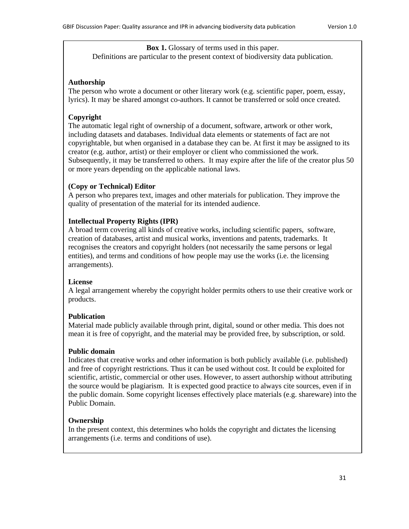**Box 1.** Glossary of terms used in this paper. Definitions are particular to the present context of biodiversity data publication.

#### **Authorship**

The person who wrote a document or other literary work (e.g. scientific paper, poem, essay, lyrics). It may be shared amongst co-authors. It cannot be transferred or sold once created.

#### **Copyright**

The automatic legal right of ownership of a document, software, artwork or other work, including datasets and databases. Individual data elements or statements of fact are not copyrightable, but when organised in a database they can be. At first it may be assigned to its creator (e.g. author, artist) or their employer or client who commissioned the work. Subsequently, it may be transferred to others. It may expire after the life of the creator plus 50 or more years depending on the applicable national laws.

#### **(Copy or Technical) Editor**

A person who prepares text, images and other materials for publication. They improve the quality of presentation of the material for its intended audience.

#### **Intellectual Property Rights (IPR)**

A broad term covering all kinds of creative works, including scientific papers, software, creation of databases, artist and musical works, inventions and patents, trademarks. It recognises the creators and copyright holders (not necessarily the same persons or legal entities), and terms and conditions of how people may use the works (i.e. the licensing arrangements).

#### **License**

A legal arrangement whereby the copyright holder permits others to use their creative work or products.

#### **Publication**

Material made publicly available through print, digital, sound or other media. This does not mean it is free of copyright, and the material may be provided free, by subscription, or sold.

#### **Public domain**

Indicates that creative works and other information is both publicly available (i.e. published) and free of copyright restrictions. Thus it can be used without cost. It could be exploited for scientific, artistic, commercial or other uses. However, to assert authorship without attributing the source would be plagiarism. It is expected good practice to always cite sources, even if in the public domain. Some copyright licenses effectively place materials (e.g. shareware) into the Public Domain.

#### **Ownership**

In the present context, this determines who holds the copyright and dictates the licensing arrangements (i.e. terms and conditions of use).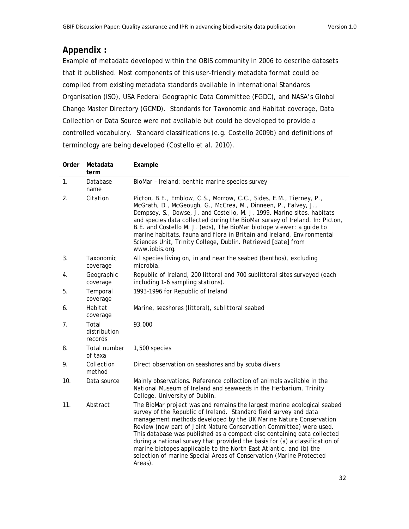# **Appendix :**

Example of metadata developed within the OBIS community in 2006 to describe datasets that it published. Most components of this user-friendly metadata format could be compiled from existing metadata standards available in International Standards Organisation (ISO), USA Federal Geographic Data Committee (FGDC), and NASA's Global Change Master Directory (GCMD). Standards for Taxonomic and Habitat coverage, Data Collection or Data Source were not available but could be developed to provide a controlled vocabulary. Standard classifications (e.g. Costello 2009b) and definitions of terminology are being developed (Costello et al. 2010).

| Order          | Metadata<br>term                 | Example                                                                                                                                                                                                                                                                                                                                                                                                                                                                                                                                                                                                     |
|----------------|----------------------------------|-------------------------------------------------------------------------------------------------------------------------------------------------------------------------------------------------------------------------------------------------------------------------------------------------------------------------------------------------------------------------------------------------------------------------------------------------------------------------------------------------------------------------------------------------------------------------------------------------------------|
| $\mathbf{1}$ . | Database<br>name                 | BioMar - Ireland: benthic marine species survey                                                                                                                                                                                                                                                                                                                                                                                                                                                                                                                                                             |
| 2.             | Citation                         | Picton, B.E., Emblow, C.S., Morrow, C.C., Sides, E.M., Tierney, P.,<br>McGrath, D., McGeough, G., McCrea, M., Dinneen, P., Falvey, J.,<br>Dempsey, S., Dowse, J. and Costello, M. J. 1999. Marine sites, habitats<br>and species data collected during the BioMar survey of Ireland. In: Picton,<br>B.E. and Costello M. J. (eds), The BioMar biotope viewer: a guide to<br>marine habitats, fauna and flora in Britain and Ireland, Environmental<br>Sciences Unit, Trinity College, Dublin. Retrieved [date] from<br>www.iobis.org.                                                                       |
| 3.             | Taxonomic<br>coverage            | All species living on, in and near the seabed (benthos), excluding<br>microbia.                                                                                                                                                                                                                                                                                                                                                                                                                                                                                                                             |
| 4.             | Geographic<br>coverage           | Republic of Ireland, 200 littoral and 700 sublittoral sites surveyed (each<br>including 1-6 sampling stations).                                                                                                                                                                                                                                                                                                                                                                                                                                                                                             |
| 5.             | Temporal<br>coverage             | 1993-1996 for Republic of Ireland                                                                                                                                                                                                                                                                                                                                                                                                                                                                                                                                                                           |
| 6.             | Habitat<br>coverage              | Marine, seashores (littoral), sublittoral seabed                                                                                                                                                                                                                                                                                                                                                                                                                                                                                                                                                            |
| 7.             | Total<br>distribution<br>records | 93,000                                                                                                                                                                                                                                                                                                                                                                                                                                                                                                                                                                                                      |
| 8.             | Total number<br>of taxa          | 1,500 species                                                                                                                                                                                                                                                                                                                                                                                                                                                                                                                                                                                               |
| 9.             | Collection<br>method             | Direct observation on seashores and by scuba divers                                                                                                                                                                                                                                                                                                                                                                                                                                                                                                                                                         |
| 10.            | Data source                      | Mainly observations. Reference collection of animals available in the<br>National Museum of Ireland and seaweeds in the Herbarium, Trinity<br>College, University of Dublin.                                                                                                                                                                                                                                                                                                                                                                                                                                |
| 11.            | Abstract                         | The BioMar project was and remains the largest marine ecological seabed<br>survey of the Republic of Ireland. Standard field survey and data<br>management methods developed by the UK Marine Nature Conservation<br>Review (now part of Joint Nature Conservation Committee) were used.<br>This database was published as a compact disc containing data collected<br>during a national survey that provided the basis for (a) a classification of<br>marine biotopes applicable to the North East Atlantic, and (b) the<br>selection of marine Special Areas of Conservation (Marine Protected<br>Areas). |